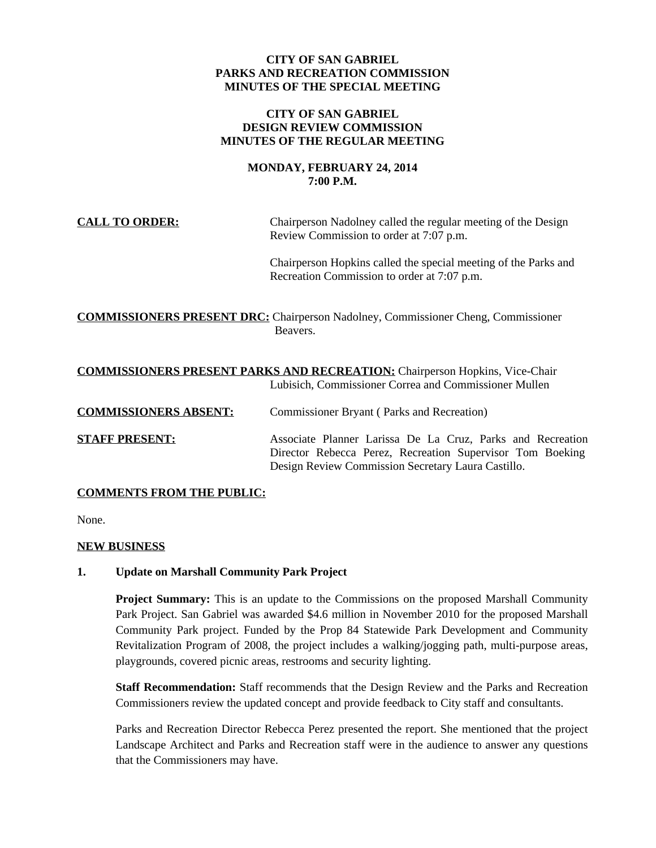# **CITY OF SAN GABRIEL PARKS AND RECREATION COMMISSION MINUTES OF THE SPECIAL MEETING**

# **CITY OF SAN GABRIEL DESIGN REVIEW COMMISSION MINUTES OF THE REGULAR MEETING**

# **MONDAY, FEBRUARY 24, 2014 7:00 P.M.**

**CALL TO ORDER:** Chairperson Nadolney called the regular meeting of the Design Review Commission to order at 7:07 p.m.

> Chairperson Hopkins called the special meeting of the Parks and Recreation Commission to order at 7:07 p.m.

**COMMISSIONERS PRESENT DRC:** Chairperson Nadolney, Commissioner Cheng, Commissioner Beavers.

|                              | <b>COMMISSIONERS PRESENT PARKS AND RECREATION:</b> Chairperson Hopkins, Vice-Chair<br>Lubisich, Commissioner Correa and Commissioner Mullen                                   |
|------------------------------|-------------------------------------------------------------------------------------------------------------------------------------------------------------------------------|
| <b>COMMISSIONERS ABSENT:</b> | <b>Commissioner Bryant (Parks and Recreation)</b>                                                                                                                             |
| <b>STAFF PRESENT:</b>        | Associate Planner Larissa De La Cruz, Parks and Recreation<br>Director Rebecca Perez, Recreation Supervisor Tom Boeking<br>Design Review Commission Secretary Laura Castillo. |

# **COMMENTS FROM THE PUBLIC:**

None.

# **NEW BUSINESS**

# **1. Update on Marshall Community Park Project**

**Project Summary:** This is an update to the Commissions on the proposed Marshall Community Park Project. San Gabriel was awarded \$4.6 million in November 2010 for the proposed Marshall Community Park project. Funded by the Prop 84 Statewide Park Development and Community Revitalization Program of 2008, the project includes a walking/jogging path, multi-purpose areas, playgrounds, covered picnic areas, restrooms and security lighting.

**Staff Recommendation:** Staff recommends that the Design Review and the Parks and Recreation Commissioners review the updated concept and provide feedback to City staff and consultants.

Parks and Recreation Director Rebecca Perez presented the report. She mentioned that the project Landscape Architect and Parks and Recreation staff were in the audience to answer any questions that the Commissioners may have.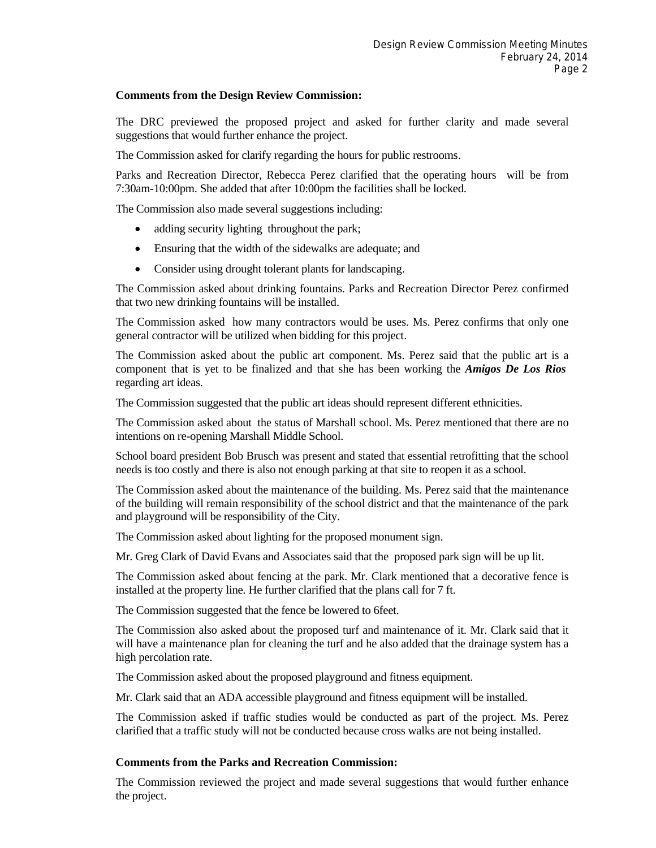### **Comments from the Design Review Commission:**

The DRC previewed the proposed project and asked for further clarity and made several suggestions that would further enhance the project.

The Commission asked for clarify regarding the hours for public restrooms.

Parks and Recreation Director, Rebecca Perez clarified that the operating hours will be from 7:30am-10:00pm. She added that after 10:00pm the facilities shall be locked.

The Commission also made several suggestions including:

- adding security lighting throughout the park;
- Ensuring that the width of the sidewalks are adequate; and
- Consider using drought tolerant plants for landscaping.

The Commission asked about drinking fountains. Parks and Recreation Director Perez confirmed that two new drinking fountains will be installed.

The Commission asked how many contractors would be uses. Ms. Perez confirms that only one general contractor will be utilized when bidding for this project.

The Commission asked about the public art component. Ms. Perez said that the public art is a component that is yet to be finalized and that she has been working the *Amigos De Los Rios* regarding art ideas.

The Commission suggested that the public art ideas should represent different ethnicities.

The Commission asked about the status of Marshall school. Ms. Perez mentioned that there are no intentions on re-opening Marshall Middle School.

School board president Bob Brusch was present and stated that essential retrofitting that the school needs is too costly and there is also not enough parking at that site to reopen it as a school.

The Commission asked about the maintenance of the building. Ms. Perez said that the maintenance of the building will remain responsibility of the school district and that the maintenance of the park and playground will be responsibility of the City.

The Commission asked about lighting for the proposed monument sign.

Mr. Greg Clark of David Evans and Associates said that the proposed park sign will be up lit.

The Commission asked about fencing at the park. Mr. Clark mentioned that a decorative fence is installed at the property line. He further clarified that the plans call for 7 ft.

The Commission suggested that the fence be lowered to 6feet.

The Commission also asked about the proposed turf and maintenance of it. Mr. Clark said that it will have a maintenance plan for cleaning the turf and he also added that the drainage system has a high percolation rate.

The Commission asked about the proposed playground and fitness equipment.

Mr. Clark said that an ADA accessible playground and fitness equipment will be installed.

The Commission asked if traffic studies would be conducted as part of the project. Ms. Perez clarified that a traffic study will not be conducted because cross walks are not being installed.

# **Comments from the Parks and Recreation Commission:**

The Commission reviewed the project and made several suggestions that would further enhance the project.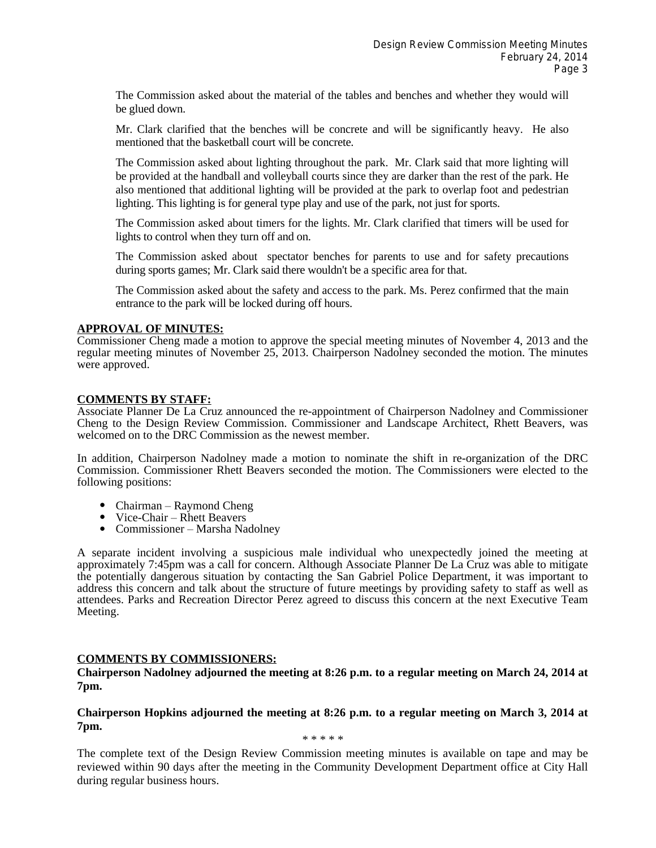The Commission asked about the material of the tables and benches and whether they would will be glued down.

Mr. Clark clarified that the benches will be concrete and will be significantly heavy. He also mentioned that the basketball court will be concrete.

The Commission asked about lighting throughout the park. Mr. Clark said that more lighting will be provided at the handball and volleyball courts since they are darker than the rest of the park. He also mentioned that additional lighting will be provided at the park to overlap foot and pedestrian lighting. This lighting is for general type play and use of the park, not just for sports.

The Commission asked about timers for the lights. Mr. Clark clarified that timers will be used for lights to control when they turn off and on.

The Commission asked about spectator benches for parents to use and for safety precautions during sports games; Mr. Clark said there wouldn't be a specific area for that.

The Commission asked about the safety and access to the park. Ms. Perez confirmed that the main entrance to the park will be locked during off hours.

#### **APPROVAL OF MINUTES:**

Commissioner Cheng made a motion to approve the special meeting minutes of November 4, 2013 and the regular meeting minutes of November 25, 2013. Chairperson Nadolney seconded the motion. The minutes were approved.

### **COMMENTS BY STAFF:**

Associate Planner De La Cruz announced the re-appointment of Chairperson Nadolney and Commissioner Cheng to the Design Review Commission. Commissioner and Landscape Architect, Rhett Beavers, was welcomed on to the DRC Commission as the newest member.

In addition, Chairperson Nadolney made a motion to nominate the shift in re-organization of the DRC Commission. Commissioner Rhett Beavers seconded the motion. The Commissioners were elected to the following positions:

- Chairman Raymond Cheng
- Vice-Chair Rhett Beavers
- Commissioner Marsha Nadolney

A separate incident involving a suspicious male individual who unexpectedly joined the meeting at approximately 7:45pm was a call for concern. Although Associate Planner De La Cruz was able to mitigate the potentially dangerous situation by contacting the San Gabriel Police Department, it was important to address this concern and talk about the structure of future meetings by providing safety to staff as well as attendees. Parks and Recreation Director Perez agreed to discuss this concern at the next Executive Team Meeting.

# **COMMENTS BY COMMISSIONERS:**

**Chairperson Nadolney adjourned the meeting at 8:26 p.m. to a regular meeting on March 24, 2014 at 7pm.**

### **Chairperson Hopkins adjourned the meeting at 8:26 p.m. to a regular meeting on March 3, 2014 at 7pm.**

\* \* \* \* \*

The complete text of the Design Review Commission meeting minutes is available on tape and may be reviewed within 90 days after the meeting in the Community Development Department office at City Hall during regular business hours.